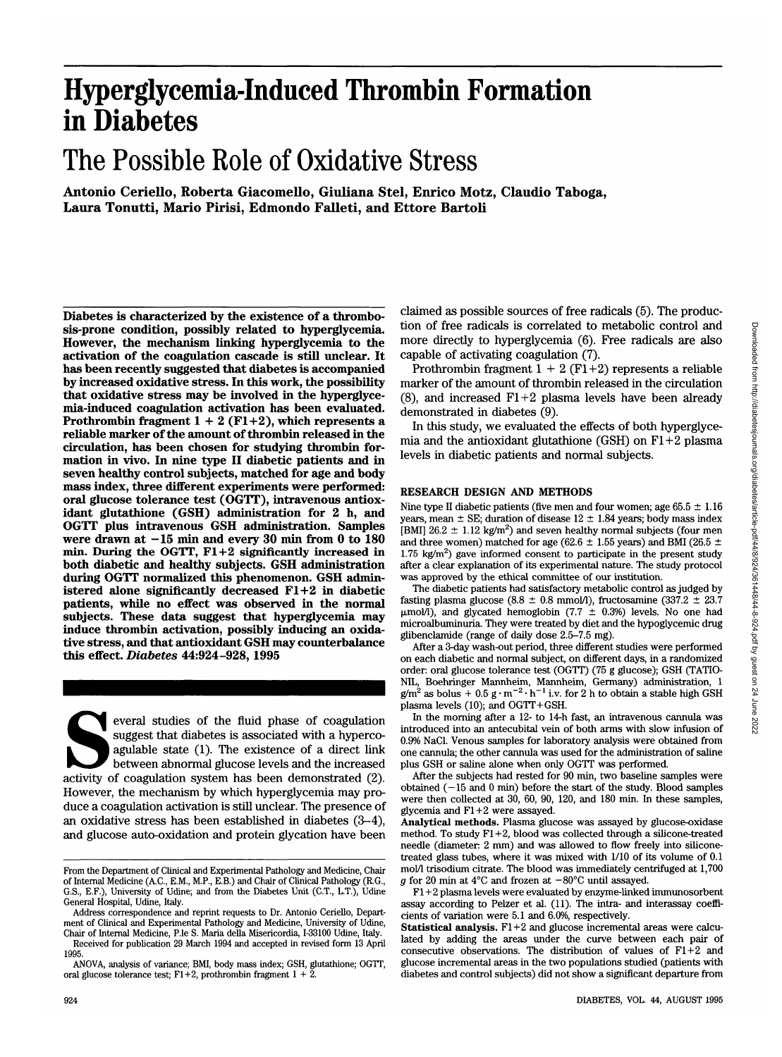# **Hyperglycemia-Induced Thrombin Formation in Diabetes**

# The Possible Role of Oxidative Stress

**Antonio Ceriello, Roberta Giacomello, Giuliana Stel, Enrico Motz, Claudio Taboga, Laura Tonutti, Mario Pirisi, Edmondo Falleti, and Ettore Bartoli**

**Diabetes is characterized by the existence of a thrombosis-prone condition, possibly related to hyperglycemia. However, the mechanism linking hyperglycemia to the activation of the coagulation cascade is still unclear. It has been recently suggested that diabetes is accompanied by increased oxidative stress. In this work, the possibility that oxidative stress may be involved in the hyperglycemia-induced coagulation activation has been evaluated. Prothrombin fragment 1 + 2 (Fl+2), which represents a reliable marker of the amount of thrombin released in the circulation, has been chosen for studying thrombin formation in vivo. In nine type II diabetic patients and in seven healthy control subjects, matched for age and body mass index, three different experiments were performed: oral glucose tolerance test (OGTT), intravenous antioxidant glutathione (GSH) administration for 2 h, and OGTT plus intravenous GSH administration. Samples** were drawn at  $-15$  min and every 30 min from 0 to 180 **min. During the OGTT, Fl+2 significantly increased in both diabetic and healthy subjects. GSH administration during OGTT normalized this phenomenon. GSH administered alone significantly decreased Fl+2 in diabetic patients, while no effect was observed in the normal subjects. These data suggest that hyperglycemia may induce thrombin activation, possibly inducing an oxidative stress, and that antioxidant GSH may counterbalance this effect.** *Diabetes* **44:924-928, 1995**

everal studies of the fluid phase of coagulation suggest that diabetes is associated with a hyperco-agulable state (1). The existence of a direct link between abnormal glucose levels and the increased activity of coagulati suggest that diabetes is associated with a hypercoagulable state (1). The existence of a direct link between abnormal glucose levels and the increased However, the mechanism by which hyperglycemia may produce a coagulation activation is still unclear. The presence of an oxidative stress has been established in diabetes (3-4), and glucose auto-oxidation and protein glycation have been claimed as possible sources of free radicals (5). The production of free radicals is correlated to metabolic control and more directly to hyperglycemia (6). Free radicals are also capable of activating coagulation (7).

Prothrombin fragment  $1 + 2$  (F1+2) represents a reliable marker of the amount of thrombin released in the circulation (8), and increased  $F1+2$  plasma levels have been already demonstrated in diabetes (9).

In this study, we evaluated the effects of both hyperglycemia and the antioxidant glutathione (GSH) on  $F1+2$  plasma levels in diabetic patients and normal subjects.

### RESEARCH DESIGN AND METHODS

Nine type II diabetic patients (five men and four women; age  $65.5 \pm 1.16$ ) years, mean  $\pm$  SE; duration of disease 12  $\pm$  1.84 years; body mass index [BMI]  $26.2 \pm 1.12$  kg/m<sup>2</sup>) and seven healthy normal subjects (four men and three women) matched for age (62.6  $\pm$  1.55 years) and BMI (26.5  $\pm$  $1.75 \text{ kg/m}^2$ ) gave informed consent to participate in the present study after a clear explanation of its experimental nature. The study protocol was approved by the ethical committee of our institution.

The diabetic patients had satisfactory metabolic control as judged by fasting plasma glucose (8.8  $\pm$  0.8 mmol/l), fructosamine (337.2  $\pm$  23.7  $\mu$ mol/l), and glycated hemoglobin (7.7  $\pm$  0.3%) levels. No one had microalbuminuria. They were treated by diet and the hypoglycemic drug glibenclamide (range of daily dose 2.5-7.5 mg).

After a 3-day wash-out period, three different studies were performed on each diabetic and normal subject, on different days, in a randomized order: oral glucose tolerance test (OGTT) (75 g glucose); GSH (TATIO- NIL, Boehringer Mannheim, Mannheim, Germany) administration, 1  $g/m^2$  as bolus + 0.5 g  $\cdot$  m<sup>-2</sup> $\cdot$  h<sup>-1</sup> i.v. for 2 h to obtain a stable high GSH plasma levels (10); and OGTT+GSH.

In the morning after a 12- to 14-h fast, an intravenous cannula was introduced into an antecubital vein of both arms with slow infusion of 0.9% NaCl. Venous samples for laboratory analysis were obtained from one cannula; the other cannula was used for the administration of saline plus GSH or saline alone when only OGTT was performed.

After the subjects had rested for 90 min, two baseline samples were obtained  $(-15$  and  $0$  min) before the start of the study. Blood samples were then collected at 30, 60, 90, 120, and 180 min. In these samples, glycemia and Fl+2 were assayed.

**Analytical methods.** Plasma glucose was assayed by glucose-oxidase method. To study Fl+2, blood was collected through a silicone-treated needle (diameter: 2 mm) and was allowed to flow freely into siliconetreated glass tubes, where it was mixed with 1/10 of its volume of 0.1 mol/1 trisodium citrate. The blood was immediately centrifuged at 1,700 *g* for 20 min at 4°C and frozen at  $-80^{\circ}$ C until assayed.

From the Department of Clinical and Experimental Pathology and Medicine, Chair of Internal Medicine (A.C., E.M., M.P., E.B.) and Chair of Clinical Pathology (R.G., G.S., E.F.), University of Udine; and from the Diabetes Unit (C.T., L.T.), Udine General Hospital, Udine, Italy.

Address correspondence and reprint requests to Dr. Antonio Ceriello, Department of Clinical and Experimental Pathology and Medicine, University of Udine,

Chair of Internal Medicine, P.le S. Maria della Misericordia, 1-33100 Udine, Italy. Received for publication 29 March 1994 and accepted in revised form 13 April 1995.

ANOVA, analysis of variance; BMI, body mass index; GSH, glutathione; OGTT, oral glucose tolerance test; F1+2, prothrombin fragment  $1 + 2$ .

Fl+2 plasma levels were evaluated by enzyme-linked immunosorbent assay according to Pelzer et al. (11). The intra- and interassay coeffi cients of variation were 5.1 and 6.0%, respectively.

**Statistical analysis.** Fl+2 and glucose incremental areas were calcu lated by adding the areas under the curve between each pair of consecutive observations. The distribution of values of Fl+2 and glucose incremental areas in the two populations studied (patients with diabetes and control subjects) did not show a significant departure from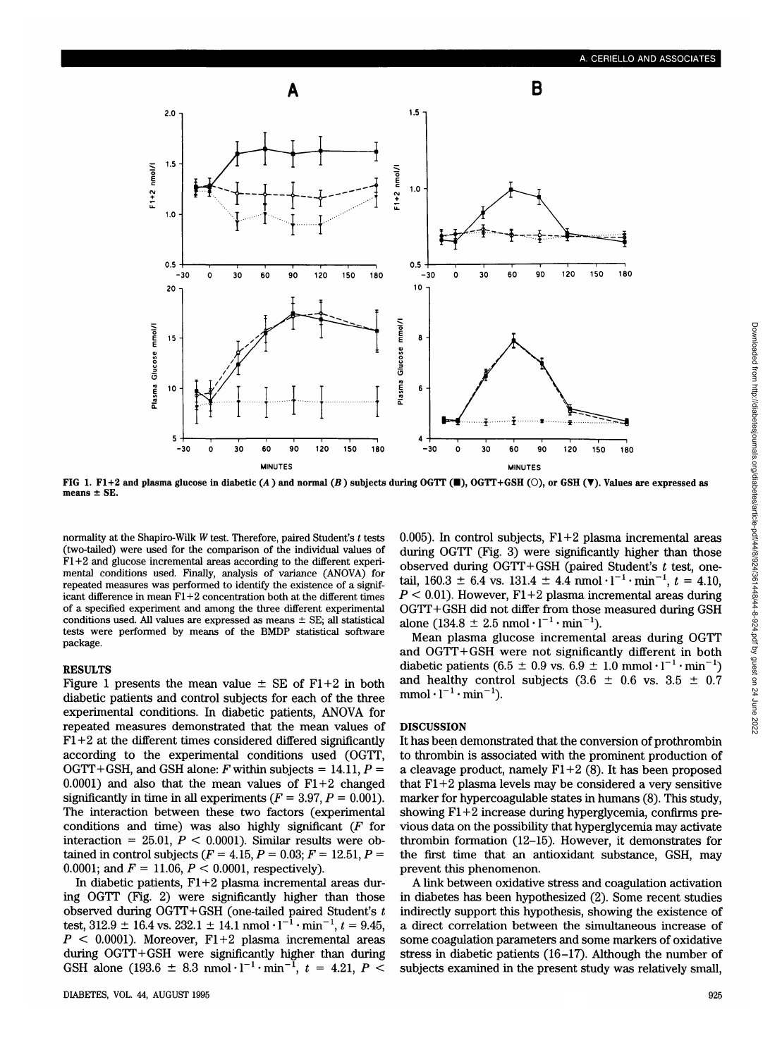

**FIG 1. Fl+2 and plasma glucose in diabetic** *(A* **) and normal** *(B* **) subjects during OGTT (•), OGTT+GSH (O), or GSH (•). Values are expressed as means ± SE.**

normality at the Shapiro-Wilk *W* test. Therefore, paired Student's *t* tests (two-tailed) were used for the comparison of the individual values of  $F1+2$  and glucose incremental areas according to the different experimental conditions used. Finally, analysis of variance (ANOVA) for repeated measures was performed to identify the existence of a significant difference in mean  $F1+2$  concentration both at the different times of a specified experiment and among the three different experimental conditions used. All values are expressed as means  $\pm$  SE; all statistical tests were performed by means of the BMDP statistical software package.

#### **RESULTS**

Figure 1 presents the mean value  $\pm$  SE of F1+2 in both diabetic patients and control subjects for each of the three experimental conditions. In diabetic patients, ANOVA for repeated measures demonstrated that the mean values of  $F1+2$  at the different times considered differed significantly according to the experimental conditions used (OGTT, OGTT+GSH, and GSH alone:  $F$  within subjects = 14.11,  $P =$ 0.0001) and also that the mean values of  $F1+2$  changed significantly in time in all experiments  $(F = 3.97, P = 0.001)$ . The interaction between these two factors (experimental conditions and time) was also highly significant *(F* for interaction =  $25.01$ ,  $P < 0.0001$ ). Similar results were obtained in control subjects  $(F = 4.15, P = 0.03; F = 12.51, P = 12.51)$ 0.0001; and  $F = 11.06$ ,  $P < 0.0001$ , respectively).

In diabetic patients, Fl+2 plasma incremental areas during OGTT (Fig. 2) were significantly higher than those observed during OGTT+GSH (one-tailed paired Student's *t* test,  $312.9 \pm 16.4$  vs.  $232.1 \pm 14.1$  nmol  $\cdot 1^{-1} \cdot \text{min}^{-1}$ ,  $t = 9.45$ , *P <* 0.0001). Moreover, Fl+2 plasma incremental areas during OGTT+GSH were significantly higher than during GSH alone (193.6  $\pm$  8.3 nmol·l<sup>-1</sup>·min<sup>-1</sup>,  $t = 4.21, P \leq$ 

0.005). In control subjects,  $F1+2$  plasma incremental areas during OGTT (Fig. 3) were significantly higher than those observed during OGTT+GSH (paired Student's *t* test, onetail,  $160.3 \pm 6.4$  vs.  $131.4 \pm 4.4$  nmol  $\cdot$  l<sup>-1</sup>  $\cdot$  min<sup>-1</sup>,  $t = 4.10$ , *P <* 0.01). However, Fl+2 plasma incremental areas during OGTT+GSH did not differ from those measured during GSH alone  $(134.8 \pm 2.5 \text{ nmol} \cdot 1^{-1} \cdot \text{min}^{-1}).$ 

Mean plasma glucose incremental areas during OGTT and OGTT+GSH were not significantly different in both diabetic patients  $(6.5 \pm 0.9 \text{ vs. } 6.9 \pm 1.0 \text{ mmol} \cdot 1^{-1} \cdot \text{min}^{-1})$ and healthy control subjects  $(3.6 \pm 0.6 \text{ vs. } 3.5 \pm 0.7)$  $mmol·l<sup>-1</sup>·min<sup>-1</sup>$ ).

### **DISCUSSION**

It has been demonstrated that the conversion of prothrombin to thrombin is associated with the prominent production of a cleavage product, namely  $F1+2$  (8). It has been proposed that  $F1+2$  plasma levels may be considered a very sensitive marker for hypercoagulable states in humans (8). This study, showing Fl+2 increase during hyperglycemia, confirms previous data on the possibility that hyperglycemia may activate thrombin formation (12-15). However, it demonstrates for the first time that an antioxidant substance, GSH, may prevent this phenomenon.

A link between oxidative stress and coagulation activation in diabetes has been hypothesized (2). Some recent studies indirectly support this hypothesis, showing the existence of a direct correlation between the simultaneous increase of some coagulation parameters and some markers of oxidative stress in diabetic patients (16-17). Although the number of subjects examined in the present study was relatively small,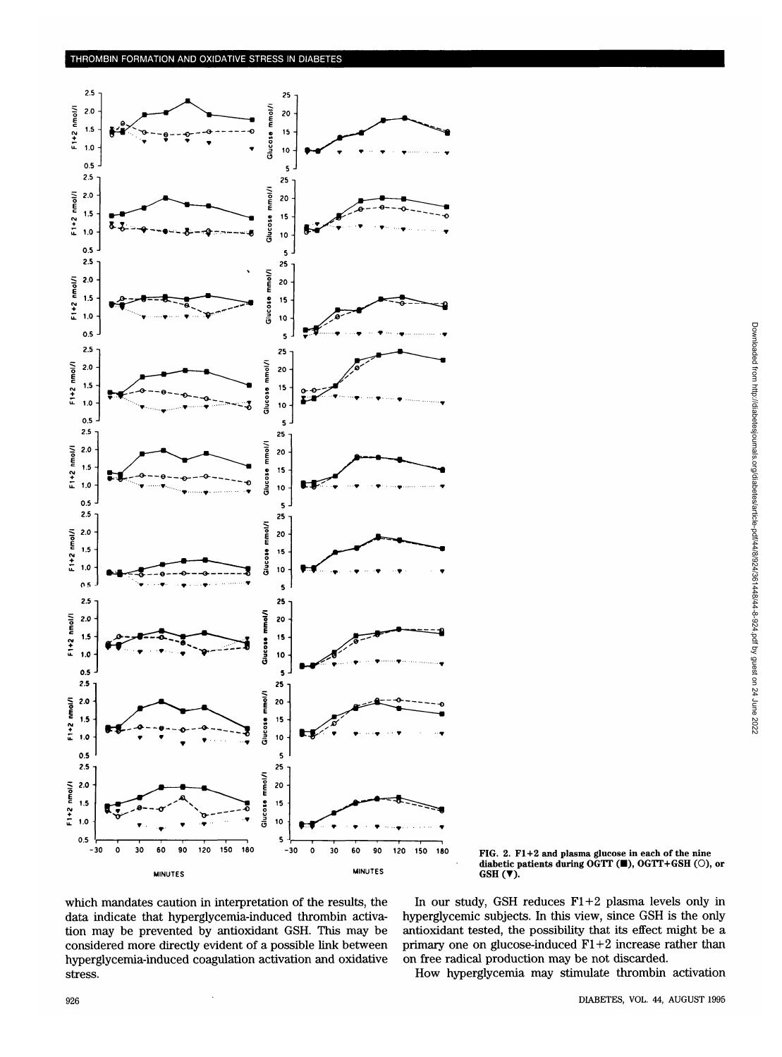

FIG. 2. F1+2 and plasma glucose in each of the nine diabetic patients during OGTT (0), OGTT+GSH (O), or  $GSH(\blacktriangledown).$ 

which mandates caution in interpretation of the results, the data indicate that hyperglycemia-induced thrombin activation may be prevented by antioxidant GSH. This may be considered more directly evident of a possible link between hyperglycemia-induced coagulation activation and oxidative stress.

In our study, GSH reduces  $F1+2$  plasma levels only in hyperglycemic subjects. In this view, since GSH is the only antioxidant tested, the possibility that its effect might be a primary one on glucose-induced  $F1+2$  increase rather than on free radical production may be not discarded.

How hyperglycemia may stimulate thrombin activation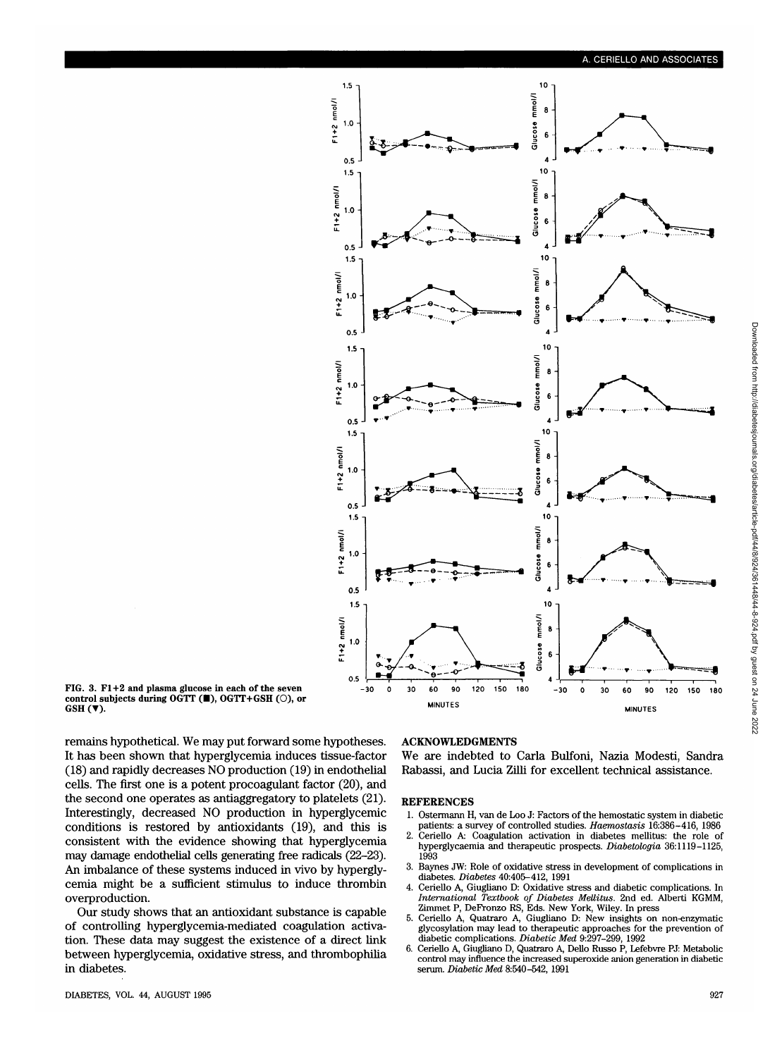

**FIG. 3. F1+2 and plasma glucose in each of the seven control subjects during OGTT (** $\blacksquare$ **), OGTT+GSH (** $\bigcirc$ **), or GSH (** $\nabla$ **).** 

remains hypothetical. We may put forward some hypotheses. It has been shown that hyperglycemia induces tissue-factor (18) and rapidly decreases NO production (19) in endothelial cells. The first one is a potent procoagulant factor (20), and the second one operates as antiaggregatory to platelets (21). Interestingly, decreased NO production in hyperglycemic conditions is restored by antioxidants (19), and this is consistent with the evidence showing that hyperglycemia may damage endothelial cells generating free radicals (22-23). An imbalance of these systems induced in vivo by hyperglycemia might be a sufficient stimulus to induce thrombin overproduction.

Our study shows that an antioxidant substance is capable of controlling hyperglycemia-mediated coagulation activation. These data may suggest the existence of a direct link between hyperglycemia, oxidative stress, and thrombophilia in diabetes.

#### ACKNOWLEDGMENTS

We are indebted to Carla Bulfoni, Nazia Modesti, Sandra Rabassi, and Lucia Zilli for excellent technical assistance.

## **REFERENCES**

- 1. Ostermann H, van de Loo J: Factors of the hemostatic system in diabetic patients: a survey of controlled studies. *Haemostasis* 16:386-416, 1986<br>2. Ceriello A: Coagulation activation in diabetes mellitus: the role of
- 2. Ceriello A: Coagulation activation in diabetes mellitus: the role of hyperglycaemia and therapeutic prospects. *Diabetologia* 36:1119-1125, <sup>1993</sup>
- 3. Baynes JW: Role of oxidative stress in development of complications in diabetes. *Diabetes* 40:405-412, 1991
- 4. Ceriello A, Giugliano D: Oxidative stress and diabetic complications. In *International Textbook of Diabetes Mellitus.* 2nd ed. Alberti KGMM, Zimmet P, DeFronzo RS, Eds. New York, Wiley. In press
- 5. Ceriello A, Quatraro A, Giugliano D: New insights on non-enzymatic glycosylation may lead to therapeutic approaches for the prevention of diabetic complications. *Diabetic Med* 9:297-299, 1992
- 6. Ceriello A, Giugliano D, Quatraro A, Dello Russo P, Lefebvre PJ: Metabolic control may influence the increased superoxide anion generation in diabetic serum. *Diabetic Med* 8:540-542, 1991